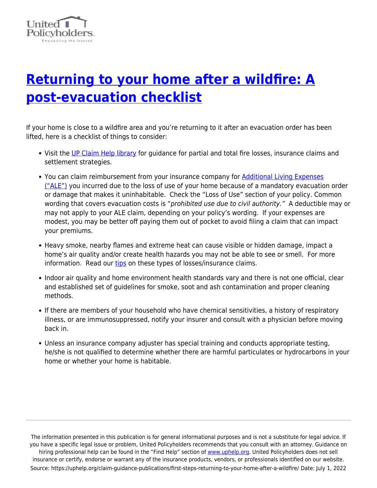

## **[Returning to your home after a wildfire: A](https://uphelp.org/claim-guidance-publications/first-steps-returning-to-your-home-after-a-wildfire/) [post-evacuation checklist](https://uphelp.org/claim-guidance-publications/first-steps-returning-to-your-home-after-a-wildfire/)**

If your home is close to a wildfire area and you're returning to it after an evacuation order has been lifted, here is a checklist of things to consider:

- Visit the [UP Claim Help library](https://uphelp.org/claim-guidance-publications/) for guidance for partial and total fire losses, insurance claims and settlement strategies.
- You can claim reimbursement from your insurance company for [Additional Living Expenses](https://uphelp.org/claim-guidance-publications/survivors-speak-additional-living-expense-ale-loss-of-use/) [\("ALE"\)](https://uphelp.org/claim-guidance-publications/survivors-speak-additional-living-expense-ale-loss-of-use/) you incurred due to the loss of use of your home because of a mandatory evacuation order or damage that makes it uninhabitable. Check the "Loss of Use" section of your policy. Common wording that covers evacuation costs is "prohibited use due to civil authority." A deductible may or may not apply to your ALE claim, depending on your policy's wording. If your expenses are modest, you may be better off paying them out of pocket to avoid filing a claim that can impact your premiums.
- Heavy smoke, nearby flames and extreme heat can cause visible or hidden damage, impact a home's air quality and/or create health hazards you may not be able to see or smell. For more information. Read our [tips](https://uphelp.org/claim-guidance-publications/insurance-claim-tips-for-partial-loss-fires/) on these types of losses/insurance claims.
- Indoor air quality and home environment health standards vary and there is not one official, clear and established set of guidelines for smoke, soot and ash contamination and proper cleaning methods.
- If there are members of your household who have chemical sensitivities, a history of respiratory illness, or are immunosuppressed, notify your insurer and consult with a physician before moving back in.
- Unless an insurance company adjuster has special training and conducts appropriate testing, he/she is not qualified to determine whether there are harmful particulates or hydrocarbons in your home or whether your home is habitable.

The information presented in this publication is for general informational purposes and is not a substitute for legal advice. If you have a specific legal issue or problem, United Policyholders recommends that you consult with an attorney. Guidance on hiring professional help can be found in the "Find Help" section of [www.uphelp.org.](http://www.uphelp.org/) United Policyholders does not sell insurance or certify, endorse or warrant any of the insurance products, vendors, or professionals identified on our website. Source: https://uphelp.org/claim-guidance-publications/first-steps-returning-to-your-home-after-a-wildfire/ Date: July 1, 2022